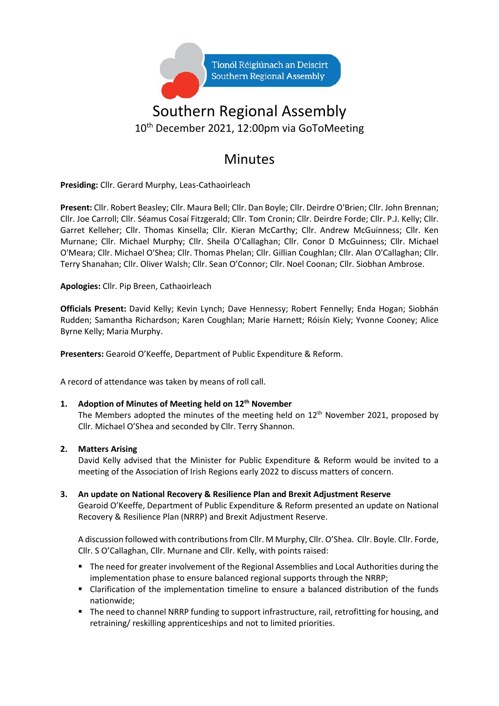

## Southern Regional Assembly 10 th December 2021, 12:00pm via GoToMeeting

### Minutes

**Presiding:** Cllr. Gerard Murphy, Leas-Cathaoirleach

**Present:** Cllr. Robert Beasley; Cllr. Maura Bell; Cllr. Dan Boyle; Cllr. Deirdre O'Brien; Cllr. John Brennan; Cllr. Joe Carroll; Cllr. Séamus Cosaí Fitzgerald; Cllr. Tom Cronin; Cllr. Deirdre Forde; Cllr. P.J. Kelly; Cllr. Garret Kelleher; Cllr. Thomas Kinsella; Cllr. Kieran McCarthy; Cllr. Andrew McGuinness; Cllr. Ken Murnane; Cllr. Michael Murphy; Cllr. Sheila O'Callaghan; Cllr. Conor D McGuinness; Cllr. Michael O'Meara; Cllr. Michael O'Shea; Cllr. Thomas Phelan; Cllr. Gillian Coughlan; Cllr. Alan O'Callaghan; Cllr. Terry Shanahan; Cllr. Oliver Walsh; Cllr. Sean O'Connor; Cllr. Noel Coonan; Cllr. Siobhan Ambrose.

**Apologies:** Cllr. Pip Breen, Cathaoirleach

**Officials Present:** David Kelly; Kevin Lynch; Dave Hennessy; Robert Fennelly; Enda Hogan; Siobhán Rudden; Samantha Richardson; Karen Coughlan; Marie Harnett; Róisín Kiely; Yvonne Cooney; Alice Byrne Kelly; Maria Murphy.

**Presenters:** Gearoid O'Keeffe, Department of Public Expenditure & Reform.

A record of attendance was taken by means of roll call.

#### **1. Adoption of Minutes of Meeting held on 12th November**

The Members adopted the minutes of the meeting held on  $12<sup>th</sup>$  November 2021, proposed by Cllr. Michael O'Shea and seconded by Cllr. Terry Shannon.

#### **2. Matters Arising**

David Kelly advised that the Minister for Public Expenditure & Reform would be invited to a meeting of the Association of Irish Regions early 2022 to discuss matters of concern.

**3. An update on National Recovery & Resilience Plan and Brexit Adjustment Reserve** Gearoid O'Keeffe, Department of Public Expenditure & Reform presented an update on National Recovery & Resilience Plan (NRRP) and Brexit Adjustment Reserve.

A discussion followed with contributions from Cllr. M Murphy, Cllr. O'Shea. Cllr. Boyle. Cllr. Forde, Cllr. S O'Callaghan, Cllr. Murnane and Cllr. Kelly, with points raised:

- The need for greater involvement of the Regional Assemblies and Local Authorities during the implementation phase to ensure balanced regional supports through the NRRP;
- Clarification of the implementation timeline to ensure a balanced distribution of the funds nationwide;
- The need to channel NRRP funding to support infrastructure, rail, retrofitting for housing, and retraining/ reskilling apprenticeships and not to limited priorities.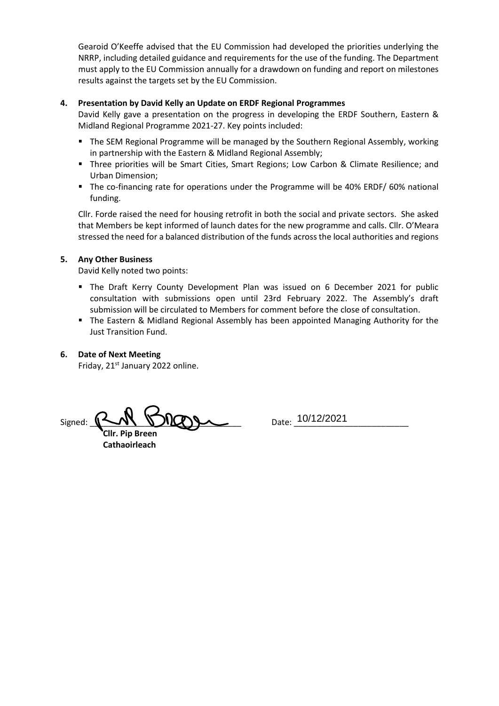Gearoid O'Keeffe advised that the EU Commission had developed the priorities underlying the NRRP, including detailed guidance and requirements for the use of the funding. The Department must apply to the EU Commission annually for a drawdown on funding and report on milestones results against the targets set by the EU Commission.

#### **4. Presentation by David Kelly an Update on ERDF Regional Programmes**

David Kelly gave a presentation on the progress in developing the ERDF Southern, Eastern & Midland Regional Programme 2021-27. Key points included:

- The SEM Regional Programme will be managed by the Southern Regional Assembly, working in partnership with the Eastern & Midland Regional Assembly;
- Three priorities will be Smart Cities, Smart Regions; Low Carbon & Climate Resilience; and Urban Dimension;
- The co-financing rate for operations under the Programme will be 40% ERDF/ 60% national funding.

Cllr. Forde raised the need for housing retrofit in both the social and private sectors. She asked that Members be kept informed of launch dates for the new programme and calls. Cllr. O'Meara stressed the need for a balanced distribution of the funds across the local authorities and regions

#### **5. Any Other Business**

David Kelly noted two points:

- **•** The Draft Kerry County Development Plan was issued on 6 December 2021 for public consultation with submissions open until 23rd February 2022. The Assembly's draft submission will be circulated to Members for comment before the close of consultation.
- The Eastern & Midland Regional Assembly has been appointed Managing Authority for the Just Transition Fund.

#### **6. Date of Next Meeting**

Friday, 21<sup>st</sup> January 2022 online.

Signed: \_\_\_\_\_\_\_\_\_\_\_\_\_\_\_\_\_\_\_\_\_\_\_\_\_\_\_\_\_\_\_\_\_ Date: \_\_\_\_\_\_\_\_\_\_\_\_\_\_\_\_\_\_\_\_\_\_\_\_\_ 10/12/2021

 **Cllr. Pip Breen Cathaoirleach**